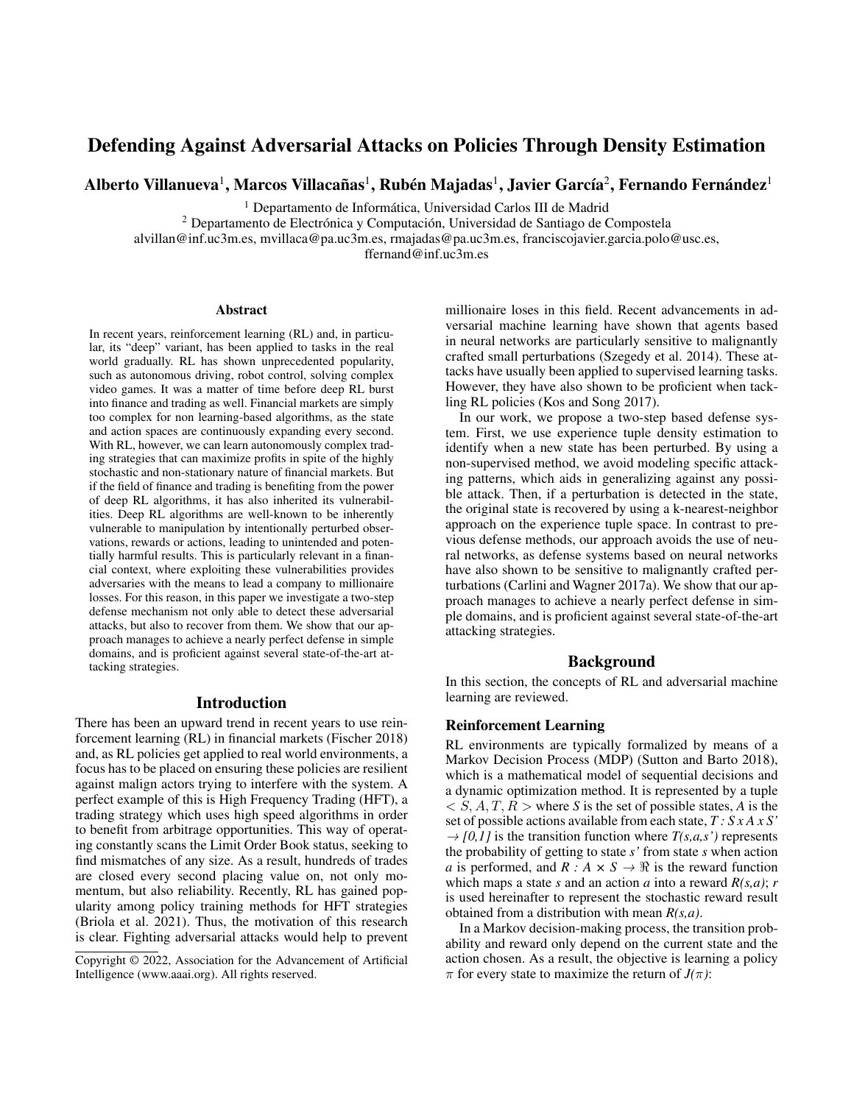# Defending Against Adversarial Attacks on Policies Through Density Estimation

Alberto Villanueva $^{\rm l}$ , Marcos Villacañas $^{\rm l}$ , Rubén Majadas $^{\rm l}$ , Javier García $^{\rm 2}$ , Fernando Fernández $^{\rm l}$ 

<sup>1</sup> Departamento de Informática, Universidad Carlos III de Madrid

 $2$  Departamento de Electrónica y Computación, Universidad de Santiago de Compostela

alvillan@inf.uc3m.es, mvillaca@pa.uc3m.es, rmajadas@pa.uc3m.es, franciscojavier.garcia.polo@usc.es,

ffernand@inf.uc3m.es

#### **Abstract**

In recent years, reinforcement learning (RL) and, in particular, its "deep" variant, has been applied to tasks in the real world gradually. RL has shown unprecedented popularity, such as autonomous driving, robot control, solving complex video games. It was a matter of time before deep RL burst into finance and trading as well. Financial markets are simply too complex for non learning-based algorithms, as the state and action spaces are continuously expanding every second. With RL, however, we can learn autonomously complex trading strategies that can maximize profits in spite of the highly stochastic and non-stationary nature of financial markets. But if the field of finance and trading is benefiting from the power of deep RL algorithms, it has also inherited its vulnerabilities. Deep RL algorithms are well-known to be inherently vulnerable to manipulation by intentionally perturbed observations, rewards or actions, leading to unintended and potentially harmful results. This is particularly relevant in a financial context, where exploiting these vulnerabilities provides adversaries with the means to lead a company to millionaire losses. For this reason, in this paper we investigate a two-step defense mechanism not only able to detect these adversarial attacks, but also to recover from them. We show that our approach manages to achieve a nearly perfect defense in simple domains, and is proficient against several state-of-the-art attacking strategies.

### Introduction

There has been an upward trend in recent years to use reinforcement learning (RL) in financial markets (Fischer 2018) and, as RL policies get applied to real world environments, a focus has to be placed on ensuring these policies are resilient against malign actors trying to interfere with the system. A perfect example of this is High Frequency Trading (HFT), a trading strategy which uses high speed algorithms in order to benefit from arbitrage opportunities. This way of operating constantly scans the Limit Order Book status, seeking to find mismatches of any size. As a result, hundreds of trades are closed every second placing value on, not only momentum, but also reliability. Recently, RL has gained popularity among policy training methods for HFT strategies (Briola et al. 2021). Thus, the motivation of this research is clear. Fighting adversarial attacks would help to prevent millionaire loses in this field. Recent advancements in adversarial machine learning have shown that agents based in neural networks are particularly sensitive to malignantly crafted small perturbations (Szegedy et al. 2014). These attacks have usually been applied to supervised learning tasks. However, they have also shown to be proficient when tackling RL policies (Kos and Song 2017).

In our work, we propose a two-step based defense system. First, we use experience tuple density estimation to identify when a new state has been perturbed. By using a non-supervised method, we avoid modeling specific attacking patterns, which aids in generalizing against any possible attack. Then, if a perturbation is detected in the state, the original state is recovered by using a k-nearest-neighbor approach on the experience tuple space. In contrast to previous defense methods, our approach avoids the use of neural networks, as defense systems based on neural networks have also shown to be sensitive to malignantly crafted perturbations (Carlini and Wagner 2017a). We show that our approach manages to achieve a nearly perfect defense in simple domains, and is proficient against several state-of-the-art attacking strategies.

### Background

In this section, the concepts of RL and adversarial machine learning are reviewed.

#### Reinforcement Learning

RL environments are typically formalized by means of a Markov Decision Process (MDP) (Sutton and Barto 2018), which is a mathematical model of sequential decisions and a dynamic optimization method. It is represented by a tuple  $\langle S, A, T, R \rangle$  where *S* is the set of possible states, *A* is the set of possible actions available from each state, *T : S x A x S'*  $\rightarrow$  *[0,1]* is the transition function where *T*(*s,a,s'*) represents the probability of getting to state *s'* from state *s* when action *a* is performed, and  $R : A \times S \rightarrow \Re$  is the reward function which maps a state *s* and an action *a* into a reward  $R(s, a)$ ; *r* is used hereinafter to represent the stochastic reward result obtained from a distribution with mean *R(s,a)*.

In a Markov decision-making process, the transition probability and reward only depend on the current state and the action chosen. As a result, the objective is learning a policy  $\pi$  for every state to maximize the return of *J*( $\pi$ ):

Copyright © 2022, Association for the Advancement of Artificial Intelligence (www.aaai.org). All rights reserved.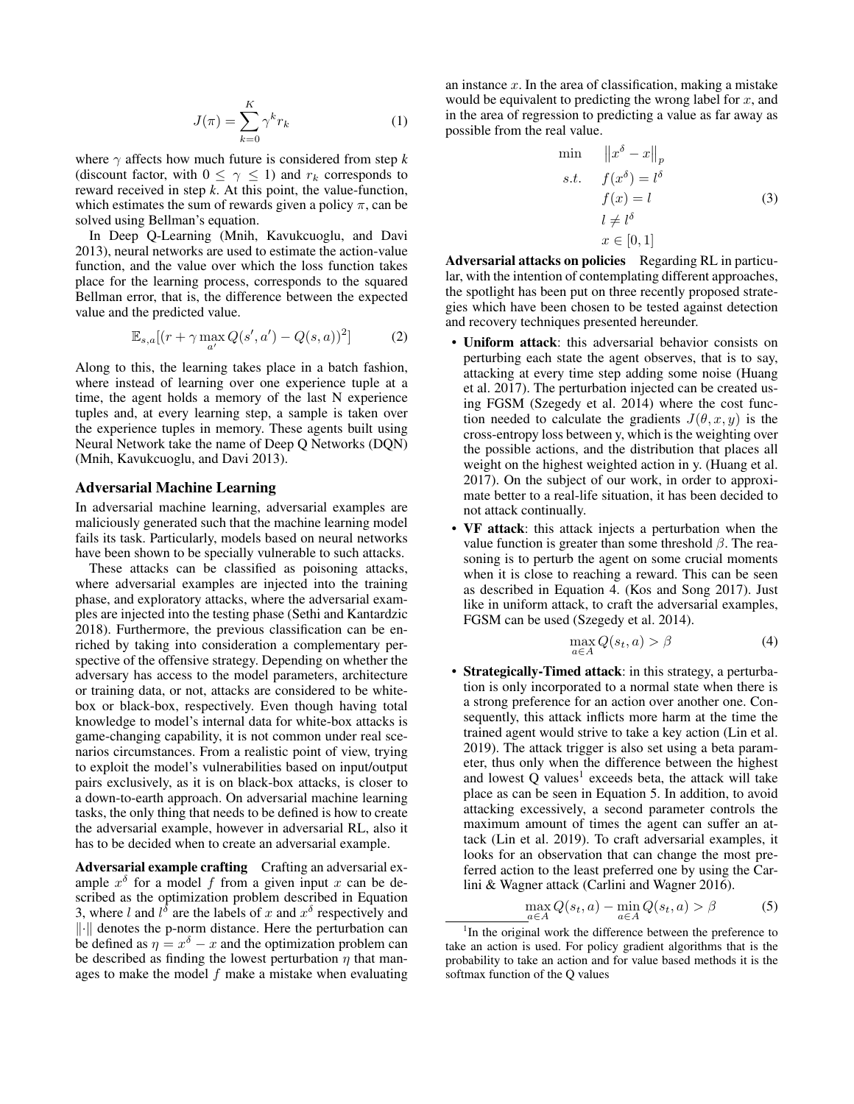$$
J(\pi) = \sum_{k=0}^{K} \gamma^k r_k
$$
 (1)

where  $\gamma$  affects how much future is considered from step *k* (discount factor, with  $0 \leq \gamma \leq 1$ ) and  $r_k$  corresponds to reward received in step *k*. At this point, the value-function, which estimates the sum of rewards given a policy  $\pi$ , can be solved using Bellman's equation.

In Deep Q-Learning (Mnih, Kavukcuoglu, and Davi 2013), neural networks are used to estimate the action-value function, and the value over which the loss function takes place for the learning process, corresponds to the squared Bellman error, that is, the difference between the expected value and the predicted value.

$$
\mathbb{E}_{s,a}[(r+\gamma \max_{a'} Q(s',a') - Q(s,a))^2]
$$
 (2)

Along to this, the learning takes place in a batch fashion, where instead of learning over one experience tuple at a time, the agent holds a memory of the last N experience tuples and, at every learning step, a sample is taken over the experience tuples in memory. These agents built using Neural Network take the name of Deep Q Networks (DQN) (Mnih, Kavukcuoglu, and Davi 2013).

#### Adversarial Machine Learning

In adversarial machine learning, adversarial examples are maliciously generated such that the machine learning model fails its task. Particularly, models based on neural networks have been shown to be specially vulnerable to such attacks.

These attacks can be classified as poisoning attacks, where adversarial examples are injected into the training phase, and exploratory attacks, where the adversarial examples are injected into the testing phase (Sethi and Kantardzic 2018). Furthermore, the previous classification can be enriched by taking into consideration a complementary perspective of the offensive strategy. Depending on whether the adversary has access to the model parameters, architecture or training data, or not, attacks are considered to be whitebox or black-box, respectively. Even though having total knowledge to model's internal data for white-box attacks is game-changing capability, it is not common under real scenarios circumstances. From a realistic point of view, trying to exploit the model's vulnerabilities based on input/output pairs exclusively, as it is on black-box attacks, is closer to a down-to-earth approach. On adversarial machine learning tasks, the only thing that needs to be defined is how to create the adversarial example, however in adversarial RL, also it has to be decided when to create an adversarial example.

Adversarial example crafting Crafting an adversarial example  $x^{\delta}$  for a model f from a given input x can be described as the optimization problem described in Equation 3, where l and  $l^{\delta}$  are the labels of x and  $x^{\delta}$  respectively and ∥·∥ denotes the p-norm distance. Here the perturbation can be defined as  $\eta = x^{\delta} - x$  and the optimization problem can be described as finding the lowest perturbation  $\eta$  that manages to make the model  $f$  make a mistake when evaluating an instance  $x$ . In the area of classification, making a mistake would be equivalent to predicting the wrong label for  $x$ , and in the area of regression to predicting a value as far away as possible from the real value.

$$
\min \quad ||x^{\delta} - x||_{p}
$$
\n
$$
s.t. \quad f(x^{\delta}) = l^{\delta}
$$
\n
$$
f(x) = l
$$
\n
$$
l \neq l^{\delta}
$$
\n
$$
x \in [0, 1]
$$
\n(3)

Adversarial attacks on policies Regarding RL in particular, with the intention of contemplating different approaches, the spotlight has been put on three recently proposed strategies which have been chosen to be tested against detection and recovery techniques presented hereunder.

- Uniform attack: this adversarial behavior consists on perturbing each state the agent observes, that is to say, attacking at every time step adding some noise (Huang et al. 2017). The perturbation injected can be created using FGSM (Szegedy et al. 2014) where the cost function needed to calculate the gradients  $J(\theta, x, y)$  is the cross-entropy loss between y, which is the weighting over the possible actions, and the distribution that places all weight on the highest weighted action in y. (Huang et al. 2017). On the subject of our work, in order to approximate better to a real-life situation, it has been decided to not attack continually.
- VF attack: this attack injects a perturbation when the value function is greater than some threshold  $\beta$ . The reasoning is to perturb the agent on some crucial moments when it is close to reaching a reward. This can be seen as described in Equation 4. (Kos and Song 2017). Just like in uniform attack, to craft the adversarial examples, FGSM can be used (Szegedy et al. 2014).

$$
\max_{a \in A} Q(s_t, a) > \beta \tag{4}
$$

• Strategically-Timed attack: in this strategy, a perturbation is only incorporated to a normal state when there is a strong preference for an action over another one. Consequently, this attack inflicts more harm at the time the trained agent would strive to take a key action (Lin et al. 2019). The attack trigger is also set using a beta parameter, thus only when the difference between the highest and lowest  $Q$  values<sup>1</sup> exceeds beta, the attack will take place as can be seen in Equation 5. In addition, to avoid attacking excessively, a second parameter controls the maximum amount of times the agent can suffer an attack (Lin et al. 2019). To craft adversarial examples, it looks for an observation that can change the most preferred action to the least preferred one by using the Carlini & Wagner attack (Carlini and Wagner 2016).

$$
\max_{a \in A} Q(s_t, a) - \min_{a \in A} Q(s_t, a) > \beta \tag{5}
$$

<sup>&</sup>lt;sup>1</sup>In the original work the difference between the preference to take an action is used. For policy gradient algorithms that is the probability to take an action and for value based methods it is the softmax function of the Q values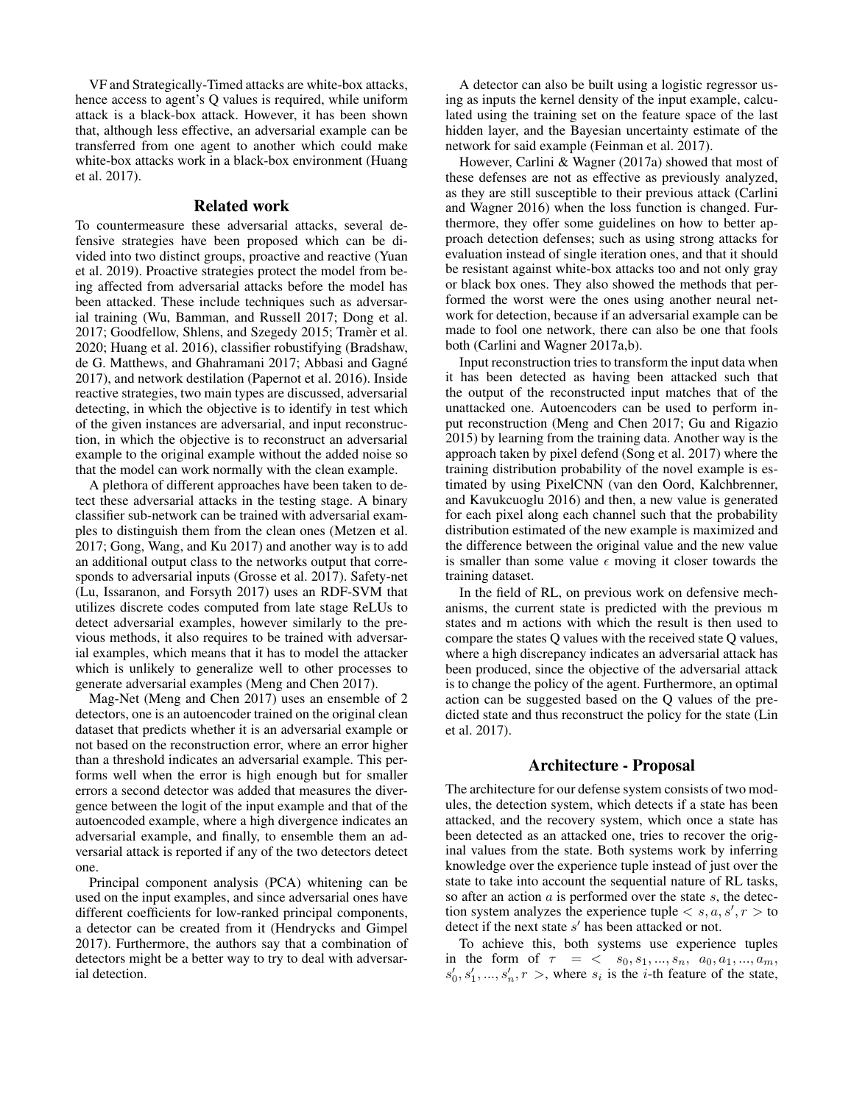VF and Strategically-Timed attacks are white-box attacks, hence access to agent's Q values is required, while uniform attack is a black-box attack. However, it has been shown that, although less effective, an adversarial example can be transferred from one agent to another which could make white-box attacks work in a black-box environment (Huang et al. 2017).

# Related work

To countermeasure these adversarial attacks, several defensive strategies have been proposed which can be divided into two distinct groups, proactive and reactive (Yuan et al. 2019). Proactive strategies protect the model from being affected from adversarial attacks before the model has been attacked. These include techniques such as adversarial training (Wu, Bamman, and Russell 2017; Dong et al. 2017; Goodfellow, Shlens, and Szegedy 2015; Tramèr et al. 2020; Huang et al. 2016), classifier robustifying (Bradshaw, de G. Matthews, and Ghahramani 2017; Abbasi and Gagné 2017), and network destilation (Papernot et al. 2016). Inside reactive strategies, two main types are discussed, adversarial detecting, in which the objective is to identify in test which of the given instances are adversarial, and input reconstruction, in which the objective is to reconstruct an adversarial example to the original example without the added noise so that the model can work normally with the clean example.

A plethora of different approaches have been taken to detect these adversarial attacks in the testing stage. A binary classifier sub-network can be trained with adversarial examples to distinguish them from the clean ones (Metzen et al. 2017; Gong, Wang, and Ku 2017) and another way is to add an additional output class to the networks output that corresponds to adversarial inputs (Grosse et al. 2017). Safety-net (Lu, Issaranon, and Forsyth 2017) uses an RDF-SVM that utilizes discrete codes computed from late stage ReLUs to detect adversarial examples, however similarly to the previous methods, it also requires to be trained with adversarial examples, which means that it has to model the attacker which is unlikely to generalize well to other processes to generate adversarial examples (Meng and Chen 2017).

Mag-Net (Meng and Chen 2017) uses an ensemble of 2 detectors, one is an autoencoder trained on the original clean dataset that predicts whether it is an adversarial example or not based on the reconstruction error, where an error higher than a threshold indicates an adversarial example. This performs well when the error is high enough but for smaller errors a second detector was added that measures the divergence between the logit of the input example and that of the autoencoded example, where a high divergence indicates an adversarial example, and finally, to ensemble them an adversarial attack is reported if any of the two detectors detect one.

Principal component analysis (PCA) whitening can be used on the input examples, and since adversarial ones have different coefficients for low-ranked principal components, a detector can be created from it (Hendrycks and Gimpel 2017). Furthermore, the authors say that a combination of detectors might be a better way to try to deal with adversarial detection.

A detector can also be built using a logistic regressor using as inputs the kernel density of the input example, calculated using the training set on the feature space of the last hidden layer, and the Bayesian uncertainty estimate of the network for said example (Feinman et al. 2017).

However, Carlini & Wagner (2017a) showed that most of these defenses are not as effective as previously analyzed, as they are still susceptible to their previous attack (Carlini and Wagner 2016) when the loss function is changed. Furthermore, they offer some guidelines on how to better approach detection defenses; such as using strong attacks for evaluation instead of single iteration ones, and that it should be resistant against white-box attacks too and not only gray or black box ones. They also showed the methods that performed the worst were the ones using another neural network for detection, because if an adversarial example can be made to fool one network, there can also be one that fools both (Carlini and Wagner 2017a,b).

Input reconstruction tries to transform the input data when it has been detected as having been attacked such that the output of the reconstructed input matches that of the unattacked one. Autoencoders can be used to perform input reconstruction (Meng and Chen 2017; Gu and Rigazio 2015) by learning from the training data. Another way is the approach taken by pixel defend (Song et al. 2017) where the training distribution probability of the novel example is estimated by using PixelCNN (van den Oord, Kalchbrenner, and Kavukcuoglu 2016) and then, a new value is generated for each pixel along each channel such that the probability distribution estimated of the new example is maximized and the difference between the original value and the new value is smaller than some value  $\epsilon$  moving it closer towards the training dataset.

In the field of RL, on previous work on defensive mechanisms, the current state is predicted with the previous m states and m actions with which the result is then used to compare the states Q values with the received state Q values, where a high discrepancy indicates an adversarial attack has been produced, since the objective of the adversarial attack is to change the policy of the agent. Furthermore, an optimal action can be suggested based on the Q values of the predicted state and thus reconstruct the policy for the state (Lin et al. 2017).

### Architecture - Proposal

The architecture for our defense system consists of two modules, the detection system, which detects if a state has been attacked, and the recovery system, which once a state has been detected as an attacked one, tries to recover the original values from the state. Both systems work by inferring knowledge over the experience tuple instead of just over the state to take into account the sequential nature of RL tasks, so after an action  $a$  is performed over the state  $s$ , the detection system analyzes the experience tuple  $\langle s, a, s', r \rangle$  to detect if the next state s' has been attacked or not.

To achieve this, both systems use experience tuples in the form of  $\tau = \langle s_0, s_1, ..., s_n, a_0, a_1, ..., a_m, \rangle$  $s'_0, s'_1, \ldots, s'_n, r >$ , where  $s_i$  is the *i*-th feature of the state,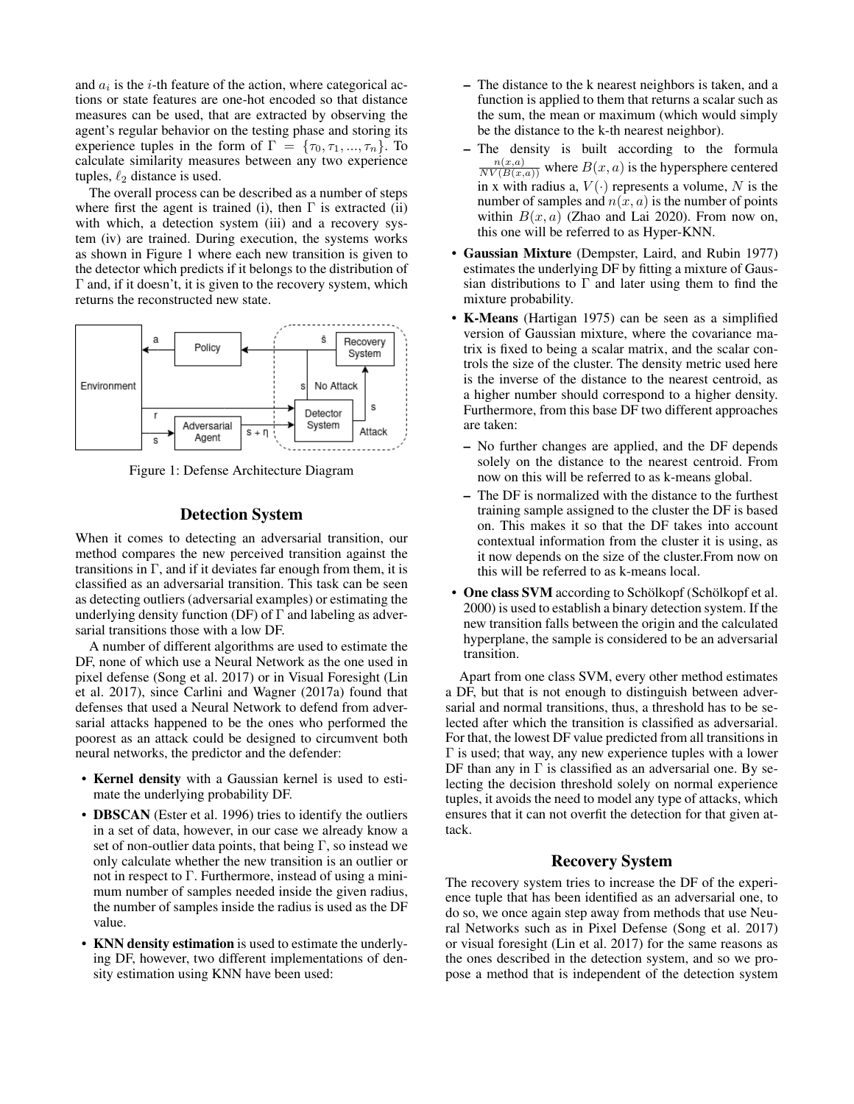and  $a_i$  is the *i*-th feature of the action, where categorical actions or state features are one-hot encoded so that distance measures can be used, that are extracted by observing the agent's regular behavior on the testing phase and storing its experience tuples in the form of  $\Gamma = \{\tau_0, \tau_1, ..., \tau_n\}$ . To calculate similarity measures between any two experience tuples,  $\ell_2$  distance is used.

The overall process can be described as a number of steps where first the agent is trained (i), then  $\Gamma$  is extracted (ii) with which, a detection system (iii) and a recovery system (iv) are trained. During execution, the systems works as shown in Figure 1 where each new transition is given to the detector which predicts if it belongs to the distribution of Γ and, if it doesn't, it is given to the recovery system, which returns the reconstructed new state.



Figure 1: Defense Architecture Diagram

# Detection System

When it comes to detecting an adversarial transition, our method compares the new perceived transition against the transitions in  $\Gamma$ , and if it deviates far enough from them, it is classified as an adversarial transition. This task can be seen as detecting outliers (adversarial examples) or estimating the underlying density function (DF) of  $\Gamma$  and labeling as adversarial transitions those with a low DF.

A number of different algorithms are used to estimate the DF, none of which use a Neural Network as the one used in pixel defense (Song et al. 2017) or in Visual Foresight (Lin et al. 2017), since Carlini and Wagner (2017a) found that defenses that used a Neural Network to defend from adversarial attacks happened to be the ones who performed the poorest as an attack could be designed to circumvent both neural networks, the predictor and the defender:

- Kernel density with a Gaussian kernel is used to estimate the underlying probability DF.
- **DBSCAN** (Ester et al. 1996) tries to identify the outliers in a set of data, however, in our case we already know a set of non-outlier data points, that being  $\Gamma$ , so instead we only calculate whether the new transition is an outlier or not in respect to Γ. Furthermore, instead of using a minimum number of samples needed inside the given radius, the number of samples inside the radius is used as the DF value.
- KNN density estimation is used to estimate the underlying DF, however, two different implementations of density estimation using KNN have been used:
- The distance to the k nearest neighbors is taken, and a function is applied to them that returns a scalar such as the sum, the mean or maximum (which would simply be the distance to the k-th nearest neighbor).
- The density is built according to the formula  $\frac{n(x,a)}{NV(B(x,a))}$  where  $B(x,a)$  is the hypersphere centered in x with radius a,  $V(\cdot)$  represents a volume, N is the number of samples and  $n(x, a)$  is the number of points within  $B(x, a)$  (Zhao and Lai 2020). From now on, this one will be referred to as Hyper-KNN.
- Gaussian Mixture (Dempster, Laird, and Rubin 1977) estimates the underlying DF by fitting a mixture of Gaussian distributions to  $\Gamma$  and later using them to find the mixture probability.
- K-Means (Hartigan 1975) can be seen as a simplified version of Gaussian mixture, where the covariance matrix is fixed to being a scalar matrix, and the scalar controls the size of the cluster. The density metric used here is the inverse of the distance to the nearest centroid, as a higher number should correspond to a higher density. Furthermore, from this base DF two different approaches are taken:
	- No further changes are applied, and the DF depends solely on the distance to the nearest centroid. From now on this will be referred to as k-means global.
	- The DF is normalized with the distance to the furthest training sample assigned to the cluster the DF is based on. This makes it so that the DF takes into account contextual information from the cluster it is using, as it now depends on the size of the cluster.From now on this will be referred to as k-means local.
- One class SVM according to Schölkopf (Schölkopf et al. 2000) is used to establish a binary detection system. If the new transition falls between the origin and the calculated hyperplane, the sample is considered to be an adversarial transition.

Apart from one class SVM, every other method estimates a DF, but that is not enough to distinguish between adversarial and normal transitions, thus, a threshold has to be selected after which the transition is classified as adversarial. For that, the lowest DF value predicted from all transitions in  $\Gamma$  is used; that way, any new experience tuples with a lower DF than any in  $\Gamma$  is classified as an adversarial one. By selecting the decision threshold solely on normal experience tuples, it avoids the need to model any type of attacks, which ensures that it can not overfit the detection for that given attack.

### Recovery System

The recovery system tries to increase the DF of the experience tuple that has been identified as an adversarial one, to do so, we once again step away from methods that use Neural Networks such as in Pixel Defense (Song et al. 2017) or visual foresight (Lin et al. 2017) for the same reasons as the ones described in the detection system, and so we propose a method that is independent of the detection system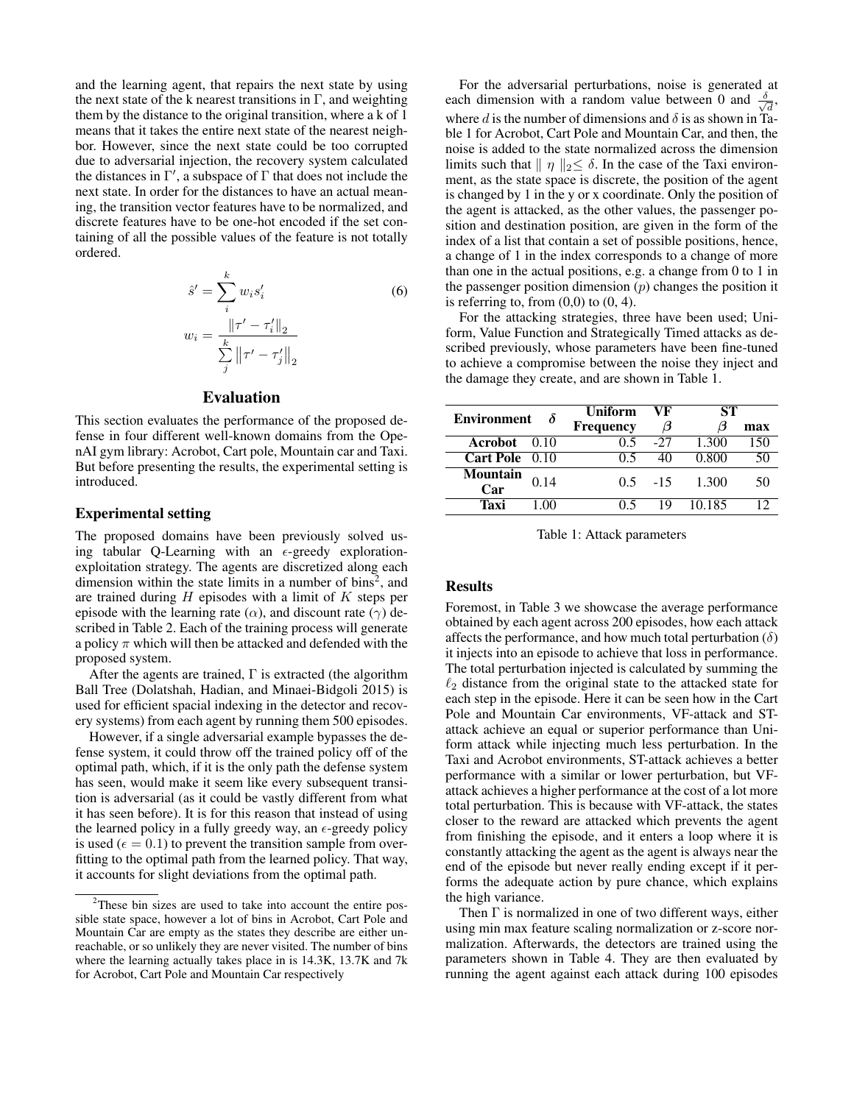and the learning agent, that repairs the next state by using the next state of the k nearest transitions in  $\Gamma$ , and weighting them by the distance to the original transition, where a k of 1 means that it takes the entire next state of the nearest neighbor. However, since the next state could be too corrupted due to adversarial injection, the recovery system calculated the distances in  $\Gamma'$ , a subspace of  $\Gamma$  that does not include the next state. In order for the distances to have an actual meaning, the transition vector features have to be normalized, and discrete features have to be one-hot encoded if the set containing of all the possible values of the feature is not totally ordered.

$$
\hat{s}' = \sum_{i}^{k} w_{i} s'_{i}
$$
\n
$$
w_{i} = \frac{\|\tau' - \tau'_{i}\|_{2}}{\sum_{j}^{k} \|\tau' - \tau'_{j}\|_{2}}
$$
\n(6)

### Evaluation

This section evaluates the performance of the proposed defense in four different well-known domains from the OpenAI gym library: Acrobot, Cart pole, Mountain car and Taxi. But before presenting the results, the experimental setting is introduced.

### Experimental setting

The proposed domains have been previously solved using tabular Q-Learning with an  $\epsilon$ -greedy explorationexploitation strategy. The agents are discretized along each dimension within the state limits in a number of bins<sup>2</sup>, and are trained during  $H$  episodes with a limit of  $K$  steps per episode with the learning rate ( $\alpha$ ), and discount rate ( $\gamma$ ) described in Table 2. Each of the training process will generate a policy  $\pi$  which will then be attacked and defended with the proposed system.

After the agents are trained,  $\Gamma$  is extracted (the algorithm Ball Tree (Dolatshah, Hadian, and Minaei-Bidgoli 2015) is used for efficient spacial indexing in the detector and recovery systems) from each agent by running them 500 episodes.

However, if a single adversarial example bypasses the defense system, it could throw off the trained policy off of the optimal path, which, if it is the only path the defense system has seen, would make it seem like every subsequent transition is adversarial (as it could be vastly different from what it has seen before). It is for this reason that instead of using the learned policy in a fully greedy way, an  $\epsilon$ -greedy policy is used ( $\epsilon = 0.1$ ) to prevent the transition sample from overfitting to the optimal path from the learned policy. That way, it accounts for slight deviations from the optimal path.

For the adversarial perturbations, noise is generated at each dimension with a random value between 0 and  $\frac{\delta}{\delta}$  $\overline{\overline{d}}$ where d is the number of dimensions and  $\delta$  is as shown in Table 1 for Acrobot, Cart Pole and Mountain Car, and then, the noise is added to the state normalized across the dimension limits such that  $|| \eta ||_2 \leq \delta$ . In the case of the Taxi environment, as the state space is discrete, the position of the agent is changed by 1 in the y or x coordinate. Only the position of the agent is attacked, as the other values, the passenger position and destination position, are given in the form of the index of a list that contain a set of possible positions, hence, a change of 1 in the index corresponds to a change of more than one in the actual positions, e.g. a change from 0 to 1 in the passenger position dimension  $(p)$  changes the position it is referring to, from  $(0,0)$  to  $(0, 4)$ .

For the attacking strategies, three have been used; Uniform, Value Function and Strategically Timed attacks as described previously, whose parameters have been fine-tuned to achieve a compromise between the noise they inject and the damage they create, and are shown in Table 1.

| <b>Environment</b>     |      | <b>Uniform</b>   | VF         | SТ     |     |  |
|------------------------|------|------------------|------------|--------|-----|--|
|                        |      | <b>Frequency</b> | Э          | A      | max |  |
| Acrobot 0.10           |      | 0.5              | $-27$      | 1.300  | 150 |  |
| Cart Pole 0.10         |      | 05               |            | 0.800  | 50  |  |
| <b>Mountain</b><br>Car | 0.14 |                  | $0.5 - 15$ | 1.300  | 50  |  |
| Taxi                   |      |                  | 10,        | 10.185 |     |  |

Table 1: Attack parameters

### Results

Foremost, in Table 3 we showcase the average performance obtained by each agent across 200 episodes, how each attack affects the performance, and how much total perturbation  $(\delta)$ it injects into an episode to achieve that loss in performance. The total perturbation injected is calculated by summing the  $\ell_2$  distance from the original state to the attacked state for each step in the episode. Here it can be seen how in the Cart Pole and Mountain Car environments, VF-attack and STattack achieve an equal or superior performance than Uniform attack while injecting much less perturbation. In the Taxi and Acrobot environments, ST-attack achieves a better performance with a similar or lower perturbation, but VFattack achieves a higher performance at the cost of a lot more total perturbation. This is because with VF-attack, the states closer to the reward are attacked which prevents the agent from finishing the episode, and it enters a loop where it is constantly attacking the agent as the agent is always near the end of the episode but never really ending except if it performs the adequate action by pure chance, which explains the high variance.

Then  $\Gamma$  is normalized in one of two different ways, either using min max feature scaling normalization or z-score normalization. Afterwards, the detectors are trained using the parameters shown in Table 4. They are then evaluated by running the agent against each attack during 100 episodes

<sup>&</sup>lt;sup>2</sup>These bin sizes are used to take into account the entire possible state space, however a lot of bins in Acrobot, Cart Pole and Mountain Car are empty as the states they describe are either unreachable, or so unlikely they are never visited. The number of bins where the learning actually takes place in is 14.3K, 13.7K and 7k for Acrobot, Cart Pole and Mountain Car respectively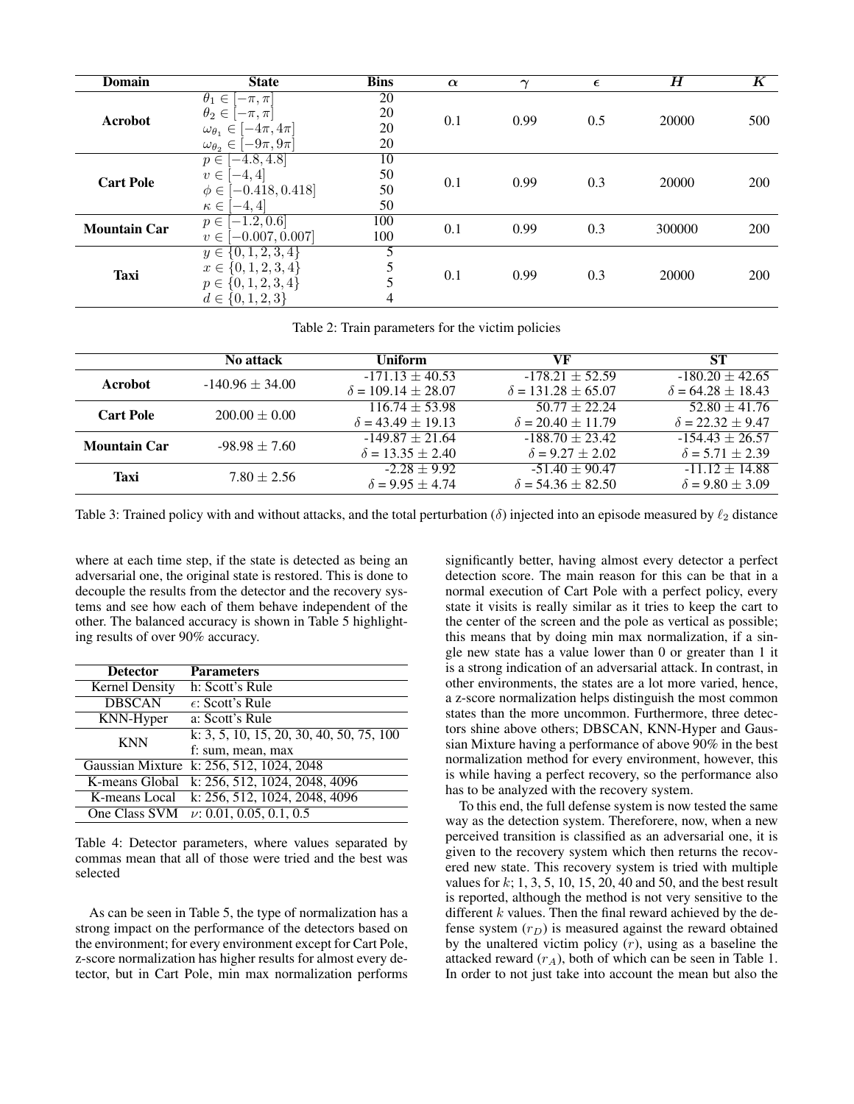| <b>Domain</b>       | <b>State</b>                                                                                                 | <b>Bins</b>                 | $\alpha$ | $\sim$ | $\epsilon$ | $\overline{H}$ | $\boldsymbol{K}$ |
|---------------------|--------------------------------------------------------------------------------------------------------------|-----------------------------|----------|--------|------------|----------------|------------------|
| Acrobot             | $\theta_1 \in$<br>$-\pi, \pi$<br>$\theta_2 \in$<br>$[-\pi, \pi]$<br>$\omega_{\theta_1} \in$<br>$-4\pi, 4\pi$ | $\overline{20}$<br>20<br>20 | 0.1      | 0.99   | 0.5        | 20000          | 500              |
|                     | $[-9\pi,9\pi]$<br>$\omega_{\theta_2} \in$                                                                    | 20                          |          |        |            |                |                  |
| <b>Cart Pole</b>    | $[-4.8, 4.8]$<br>$p \in$                                                                                     | 10                          |          | 0.99   | 0.3        | 20000          | 200              |
|                     | $-4,4$<br>$v \in$<br>$[-0.418, 0.418]$<br>$\phi \in$                                                         | 50<br>50                    | 0.1      |        |            |                |                  |
|                     | $\kappa \in$<br>$[-4, 4]$                                                                                    | 50                          |          |        |            |                |                  |
| <b>Mountain Car</b> | $[-1.2, 0.6]$<br>$p \in$<br>$-0.007, 0.007$<br>$v \in$                                                       | 100<br>100                  | 0.1      | 0.99   | 0.3        | 300000         | 200              |
| <b>Taxi</b>         | $y \in \{0, \overline{1, 2, 3, 4}\}\$                                                                        |                             |          |        |            |                |                  |
|                     | $x \in \{0, 1, 2, 3, 4\}$                                                                                    | 5                           | 0.1      | 0.99   | 0.3        | 20000          | 200              |
|                     | $p \in \{0, 1, 2, 3, 4\}$                                                                                    |                             |          |        |            |                |                  |
|                     | $d \in \{0, 1, 2, 3\}$                                                                                       | 4                           |          |        |            |                |                  |

Table 2: Train parameters for the victim policies

|                     | No attack           | <b>Uniform</b>                                     | VF                                                 | <b>ST</b>                                         |  |
|---------------------|---------------------|----------------------------------------------------|----------------------------------------------------|---------------------------------------------------|--|
| Acrobot             | $-140.96 \pm 34.00$ | $-171.13 \pm 40.53$<br>$\delta = 109.14 \pm 28.07$ | $-178.21 \pm 52.59$<br>$\delta = 131.28 \pm 65.07$ | $-180.20 \pm 42.65$<br>$\delta = 64.28 \pm 18.43$ |  |
| <b>Cart Pole</b>    | $200.00 \pm 0.00$   | $116.74 \pm 53.98$<br>$\delta = 43.49 \pm 19.13$   | $50.77 \pm 22.24$<br>$\delta = 20.40 \pm 11.79$    | $52.80 \pm 41.76$<br>$\delta = 22.32 + 9.47$      |  |
| <b>Mountain Car</b> | $-98.98 \pm 7.60$   | $-149.87 + 21.64$<br>$\delta = 13.35 \pm 2.40$     | $-188.70 \pm 23.42$<br>$\delta = 9.27 \pm 2.02$    | $-154.43 + 26.57$<br>$\delta = 5.71 + 2.39$       |  |
| Taxi                | $7.80 \pm 2.56$     | $-2.28 + 9.92$<br>$\delta = 9.95 + 4.74$           | $-51.40 \pm 90.47$<br>$\delta = 54.36 \pm 82.50$   | $-11.12 + 14.88$<br>$\delta = 9.80 \pm 3.09$      |  |

Table 3: Trained policy with and without attacks, and the total perturbation ( $\delta$ ) injected into an episode measured by  $\ell_2$  distance

where at each time step, if the state is detected as being an adversarial one, the original state is restored. This is done to decouple the results from the detector and the recovery systems and see how each of them behave independent of the other. The balanced accuracy is shown in Table 5 highlighting results of over 90% accuracy.

| <b>Detector</b>       | <b>Parameters</b>                            |
|-----------------------|----------------------------------------------|
| <b>Kernel Density</b> | h: Scott's Rule                              |
| <b>DBSCAN</b>         | $\epsilon$ : Scott's Rule                    |
| KNN-Hyper             | a: Scott's Rule                              |
| <b>KNN</b>            | k: 3, 5, 10, 15, 20, 30, 40, 50, 75, 100     |
|                       | f: sum, mean, max                            |
|                       | Gaussian Mixture k: 256, 512, 1024, 2048     |
|                       | K-means Global k: 256, 512, 1024, 2048, 4096 |
|                       | K-means Local k: 256, 512, 1024, 2048, 4096  |
|                       | One Class SVM $\nu: 0.01, 0.05, 0.1, 0.5$    |

Table 4: Detector parameters, where values separated by commas mean that all of those were tried and the best was selected

As can be seen in Table 5, the type of normalization has a strong impact on the performance of the detectors based on the environment; for every environment except for Cart Pole, z-score normalization has higher results for almost every detector, but in Cart Pole, min max normalization performs

significantly better, having almost every detector a perfect detection score. The main reason for this can be that in a normal execution of Cart Pole with a perfect policy, every state it visits is really similar as it tries to keep the cart to the center of the screen and the pole as vertical as possible; this means that by doing min max normalization, if a single new state has a value lower than 0 or greater than 1 it is a strong indication of an adversarial attack. In contrast, in other environments, the states are a lot more varied, hence, a z-score normalization helps distinguish the most common states than the more uncommon. Furthermore, three detectors shine above others; DBSCAN, KNN-Hyper and Gaussian Mixture having a performance of above 90% in the best normalization method for every environment, however, this is while having a perfect recovery, so the performance also has to be analyzed with the recovery system.

To this end, the full defense system is now tested the same way as the detection system. Thereforere, now, when a new perceived transition is classified as an adversarial one, it is given to the recovery system which then returns the recovered new state. This recovery system is tried with multiple values for  $k$ ; 1, 3, 5, 10, 15, 20, 40 and 50, and the best result is reported, although the method is not very sensitive to the different  $k$  values. Then the final reward achieved by the defense system  $(r_D)$  is measured against the reward obtained by the unaltered victim policy  $(r)$ , using as a baseline the attacked reward  $(r_A)$ , both of which can be seen in Table 1. In order to not just take into account the mean but also the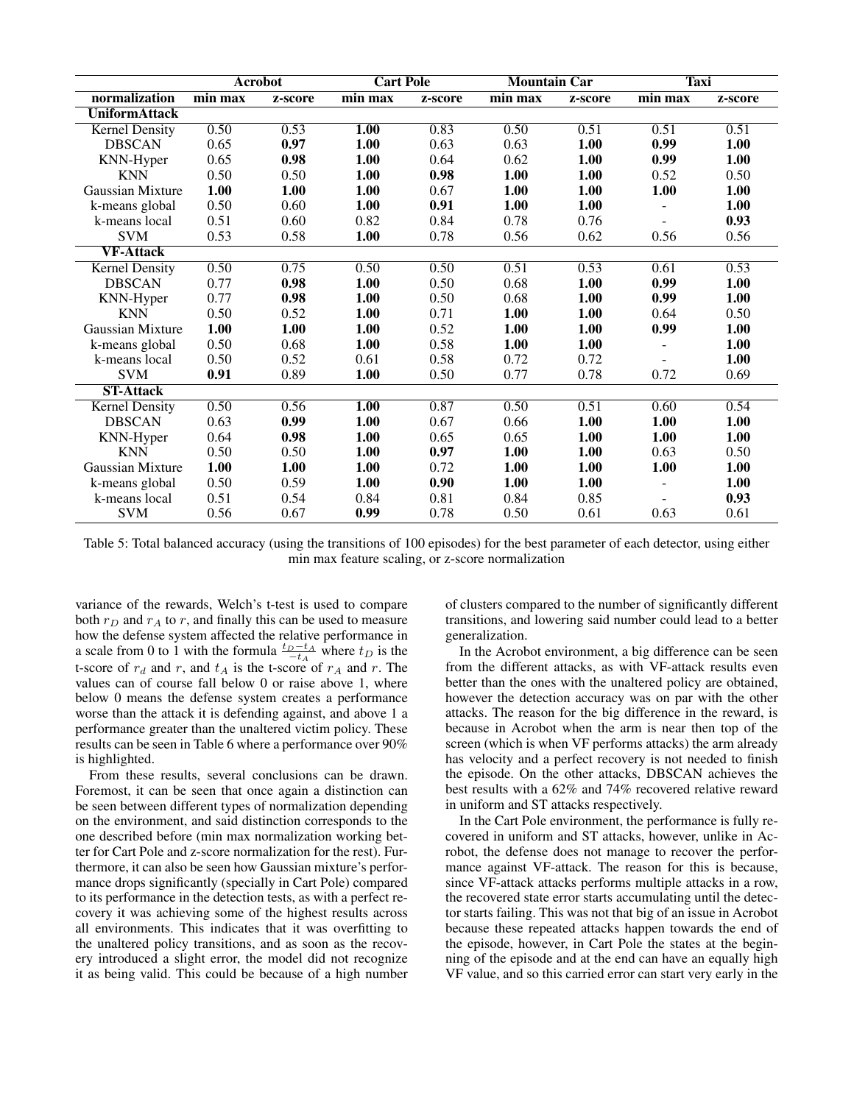|                       | <b>Acrobot</b> |         | <b>Cart Pole</b>            |         | <b>Mountain Car</b> |         | <b>Taxi</b>    |         |
|-----------------------|----------------|---------|-----------------------------|---------|---------------------|---------|----------------|---------|
| normalization         | min max        | z-score | $\overline{\text{min}}$ max | z-score | min max             | z-score | $min$ max      | z-score |
| <b>UniformAttack</b>  |                |         |                             |         |                     |         |                |         |
| <b>Kernel Density</b> | 0.50           | 0.53    | 1.00                        | 0.83    | 0.50                | 0.51    | 0.51           | 0.51    |
| <b>DBSCAN</b>         | 0.65           | 0.97    | 1.00                        | 0.63    | 0.63                | 1.00    | 0.99           | 1.00    |
| KNN-Hyper             | 0.65           | 0.98    | 1.00                        | 0.64    | 0.62                | 1.00    | 0.99           | 1.00    |
| <b>KNN</b>            | 0.50           | 0.50    | 1.00                        | 0.98    | 1.00                | 1.00    | 0.52           | 0.50    |
| Gaussian Mixture      | 1.00           | 1.00    | 1.00                        | 0.67    | 1.00                | 1.00    | 1.00           | 1.00    |
| k-means global        | 0.50           | 0.60    | 1.00                        | 0.91    | 1.00                | 1.00    |                | 1.00    |
| k-means local         | 0.51           | 0.60    | 0.82                        | 0.84    | 0.78                | 0.76    |                | 0.93    |
| <b>SVM</b>            | 0.53           | 0.58    | 1.00                        | 0.78    | 0.56                | 0.62    | 0.56           | 0.56    |
| <b>VF-Attack</b>      |                |         |                             |         |                     |         |                |         |
| <b>Kernel Density</b> | 0.50           | 0.75    | 0.50                        | 0.50    | 0.51                | 0.53    | 0.61           | 0.53    |
| <b>DBSCAN</b>         | 0.77           | 0.98    | 1.00                        | 0.50    | 0.68                | 1.00    | 0.99           | 1.00    |
| KNN-Hyper             | 0.77           | 0.98    | 1.00                        | 0.50    | 0.68                | 1.00    | 0.99           | 1.00    |
| <b>KNN</b>            | 0.50           | 0.52    | 1.00                        | 0.71    | 1.00                | 1.00    | 0.64           | 0.50    |
| Gaussian Mixture      | 1.00           | 1.00    | 1.00                        | 0.52    | 1.00                | 1.00    | 0.99           | 1.00    |
| k-means global        | 0.50           | 0.68    | 1.00                        | 0.58    | 1.00                | 1.00    |                | 1.00    |
| k-means local         | 0.50           | 0.52    | 0.61                        | 0.58    | 0.72                | 0.72    |                | 1.00    |
| <b>SVM</b>            | 0.91           | 0.89    | 1.00                        | 0.50    | 0.77                | 0.78    | 0.72           | 0.69    |
| <b>ST-Attack</b>      |                |         |                             |         |                     |         |                |         |
| <b>Kernel Density</b> | 0.50           | 0.56    | $\overline{1.00}$           | 0.87    | 0.50                | 0.51    | 0.60           | 0.54    |
| <b>DBSCAN</b>         | 0.63           | 0.99    | 1.00                        | 0.67    | 0.66                | 1.00    | 1.00           | 1.00    |
| KNN-Hyper             | 0.64           | 0.98    | 1.00                        | 0.65    | 0.65                | 1.00    | 1.00           | 1.00    |
| <b>KNN</b>            | 0.50           | 0.50    | 1.00                        | 0.97    | 1.00                | 1.00    | 0.63           | 0.50    |
| Gaussian Mixture      | 1.00           | 1.00    | 1.00                        | 0.72    | 1.00                | 1.00    | 1.00           | 1.00    |
| k-means global        | 0.50           | 0.59    | 1.00                        | 0.90    | 1.00                | 1.00    | $\overline{a}$ | 1.00    |
| k-means local         | 0.51           | 0.54    | 0.84                        | 0.81    | 0.84                | 0.85    |                | 0.93    |
| <b>SVM</b>            | 0.56           | 0.67    | 0.99                        | 0.78    | 0.50                | 0.61    | 0.63           | 0.61    |

Table 5: Total balanced accuracy (using the transitions of 100 episodes) for the best parameter of each detector, using either min max feature scaling, or z-score normalization

variance of the rewards, Welch's t-test is used to compare both  $r_D$  and  $r_A$  to r, and finally this can be used to measure how the defense system affected the relative performance in a scale from 0 to 1 with the formula  $\frac{t_D-t_A}{-t_A}$  where  $t_D$  is the t-score of  $r_d$  and r, and  $t_A$  is the t-score of  $r_A$  and r. The values can of course fall below 0 or raise above 1, where below 0 means the defense system creates a performance worse than the attack it is defending against, and above 1 a performance greater than the unaltered victim policy. These results can be seen in Table 6 where a performance over 90% is highlighted.

From these results, several conclusions can be drawn. Foremost, it can be seen that once again a distinction can be seen between different types of normalization depending on the environment, and said distinction corresponds to the one described before (min max normalization working better for Cart Pole and z-score normalization for the rest). Furthermore, it can also be seen how Gaussian mixture's performance drops significantly (specially in Cart Pole) compared to its performance in the detection tests, as with a perfect recovery it was achieving some of the highest results across all environments. This indicates that it was overfitting to the unaltered policy transitions, and as soon as the recovery introduced a slight error, the model did not recognize it as being valid. This could be because of a high number of clusters compared to the number of significantly different transitions, and lowering said number could lead to a better generalization.

In the Acrobot environment, a big difference can be seen from the different attacks, as with VF-attack results even better than the ones with the unaltered policy are obtained, however the detection accuracy was on par with the other attacks. The reason for the big difference in the reward, is because in Acrobot when the arm is near then top of the screen (which is when VF performs attacks) the arm already has velocity and a perfect recovery is not needed to finish the episode. On the other attacks, DBSCAN achieves the best results with a 62% and 74% recovered relative reward in uniform and ST attacks respectively.

In the Cart Pole environment, the performance is fully recovered in uniform and ST attacks, however, unlike in Acrobot, the defense does not manage to recover the performance against VF-attack. The reason for this is because, since VF-attack attacks performs multiple attacks in a row, the recovered state error starts accumulating until the detector starts failing. This was not that big of an issue in Acrobot because these repeated attacks happen towards the end of the episode, however, in Cart Pole the states at the beginning of the episode and at the end can have an equally high VF value, and so this carried error can start very early in the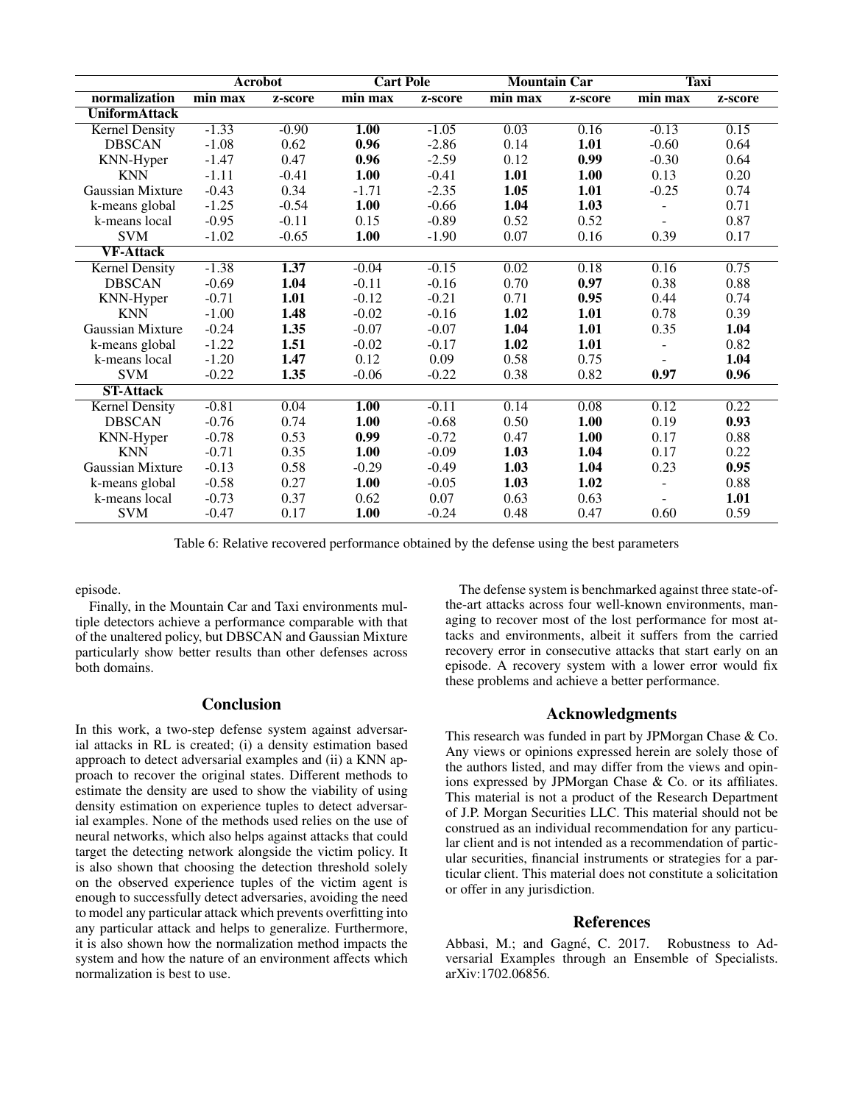|                       | <b>Acrobot</b> |         | <b>Cart Pole</b>            |         | <b>Mountain Car</b> |         | <b>Taxi</b> |         |
|-----------------------|----------------|---------|-----------------------------|---------|---------------------|---------|-------------|---------|
| normalization         | min max        | z-score | $\overline{\text{min}}$ max | z-score | min max             | z-score | min max     | z-score |
| <b>UniformAttack</b>  |                |         |                             |         |                     |         |             |         |
| <b>Kernel Density</b> | $-1.33$        | $-0.90$ | 1.00                        | $-1.05$ | 0.03                | 0.16    | $-0.13$     | 0.15    |
| <b>DBSCAN</b>         | $-1.08$        | 0.62    | 0.96                        | $-2.86$ | 0.14                | 1.01    | $-0.60$     | 0.64    |
| KNN-Hyper             | $-1.47$        | 0.47    | 0.96                        | $-2.59$ | 0.12                | 0.99    | $-0.30$     | 0.64    |
| <b>KNN</b>            | $-1.11$        | $-0.41$ | 1.00                        | $-0.41$ | 1.01                | 1.00    | 0.13        | 0.20    |
| Gaussian Mixture      | $-0.43$        | 0.34    | $-1.71$                     | $-2.35$ | 1.05                | 1.01    | $-0.25$     | 0.74    |
| k-means global        | $-1.25$        | $-0.54$ | 1.00                        | $-0.66$ | 1.04                | 1.03    |             | 0.71    |
| k-means local         | $-0.95$        | $-0.11$ | 0.15                        | $-0.89$ | 0.52                | 0.52    |             | 0.87    |
| <b>SVM</b>            | $-1.02$        | $-0.65$ | 1.00                        | $-1.90$ | 0.07                | 0.16    | 0.39        | 0.17    |
| <b>VF-Attack</b>      |                |         |                             |         |                     |         |             |         |
| <b>Kernel Density</b> | $-1.38$        | 1.37    | $-0.04$                     | $-0.15$ | 0.02                | 0.18    | 0.16        | 0.75    |
| <b>DBSCAN</b>         | $-0.69$        | 1.04    | $-0.11$                     | $-0.16$ | 0.70                | 0.97    | 0.38        | 0.88    |
| KNN-Hyper             | $-0.71$        | 1.01    | $-0.12$                     | $-0.21$ | 0.71                | 0.95    | 0.44        | 0.74    |
| <b>KNN</b>            | $-1.00$        | 1.48    | $-0.02$                     | $-0.16$ | 1.02                | 1.01    | 0.78        | 0.39    |
| Gaussian Mixture      | $-0.24$        | 1.35    | $-0.07$                     | $-0.07$ | 1.04                | 1.01    | 0.35        | 1.04    |
| k-means global        | $-1.22$        | 1.51    | $-0.02$                     | $-0.17$ | 1.02                | 1.01    |             | 0.82    |
| k-means local         | $-1.20$        | 1.47    | 0.12                        | 0.09    | 0.58                | 0.75    |             | 1.04    |
| <b>SVM</b>            | $-0.22$        | 1.35    | $-0.06$                     | $-0.22$ | 0.38                | 0.82    | 0.97        | 0.96    |
| <b>ST-Attack</b>      |                |         |                             |         |                     |         |             |         |
| <b>Kernel Density</b> | $-0.81$        | 0.04    | $\overline{1.00}$           | $-0.11$ | 0.14                | 0.08    | 0.12        | 0.22    |
| <b>DBSCAN</b>         | $-0.76$        | 0.74    | 1.00                        | $-0.68$ | 0.50                | 1.00    | 0.19        | 0.93    |
| KNN-Hyper             | $-0.78$        | 0.53    | 0.99                        | $-0.72$ | 0.47                | 1.00    | 0.17        | 0.88    |
| <b>KNN</b>            | $-0.71$        | 0.35    | 1.00                        | $-0.09$ | 1.03                | 1.04    | 0.17        | 0.22    |
| Gaussian Mixture      | $-0.13$        | 0.58    | $-0.29$                     | $-0.49$ | 1.03                | 1.04    | 0.23        | 0.95    |
| k-means global        | $-0.58$        | 0.27    | 1.00                        | $-0.05$ | 1.03                | 1.02    |             | 0.88    |
| k-means local         | $-0.73$        | 0.37    | 0.62                        | 0.07    | 0.63                | 0.63    |             | 1.01    |
| <b>SVM</b>            | $-0.47$        | 0.17    | 1.00                        | $-0.24$ | 0.48                | 0.47    | 0.60        | 0.59    |

Table 6: Relative recovered performance obtained by the defense using the best parameters

episode.

Finally, in the Mountain Car and Taxi environments multiple detectors achieve a performance comparable with that of the unaltered policy, but DBSCAN and Gaussian Mixture particularly show better results than other defenses across both domains.

# **Conclusion**

In this work, a two-step defense system against adversarial attacks in RL is created; (i) a density estimation based approach to detect adversarial examples and (ii) a KNN approach to recover the original states. Different methods to estimate the density are used to show the viability of using density estimation on experience tuples to detect adversarial examples. None of the methods used relies on the use of neural networks, which also helps against attacks that could target the detecting network alongside the victim policy. It is also shown that choosing the detection threshold solely on the observed experience tuples of the victim agent is enough to successfully detect adversaries, avoiding the need to model any particular attack which prevents overfitting into any particular attack and helps to generalize. Furthermore, it is also shown how the normalization method impacts the system and how the nature of an environment affects which normalization is best to use.

The defense system is benchmarked against three state-ofthe-art attacks across four well-known environments, managing to recover most of the lost performance for most attacks and environments, albeit it suffers from the carried recovery error in consecutive attacks that start early on an episode. A recovery system with a lower error would fix these problems and achieve a better performance.

### Acknowledgments

This research was funded in part by JPMorgan Chase & Co. Any views or opinions expressed herein are solely those of the authors listed, and may differ from the views and opinions expressed by JPMorgan Chase & Co. or its affiliates. This material is not a product of the Research Department of J.P. Morgan Securities LLC. This material should not be construed as an individual recommendation for any particular client and is not intended as a recommendation of particular securities, financial instruments or strategies for a particular client. This material does not constitute a solicitation or offer in any jurisdiction.

### References

Abbasi, M.; and Gagné, C. 2017. Robustness to Adversarial Examples through an Ensemble of Specialists. arXiv:1702.06856.